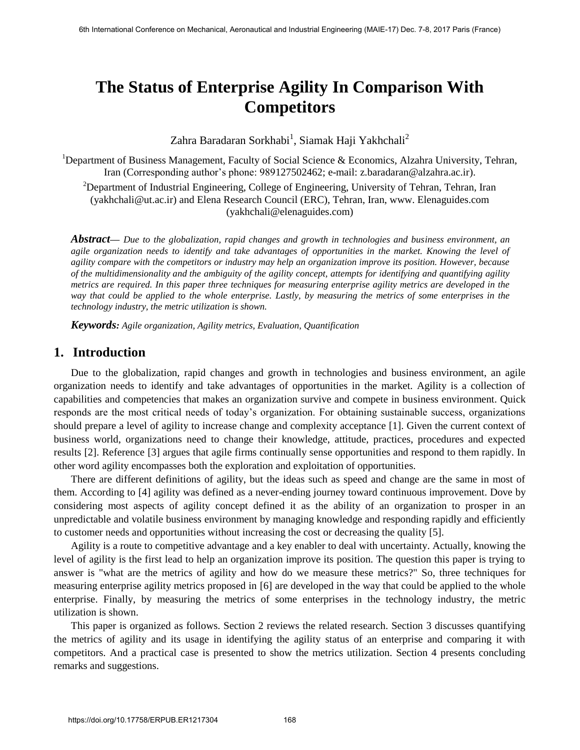# **The Status of Enterprise Agility In Comparison With Competitors**

Zahra Baradaran Sorkhabi<sup>1</sup>, Siamak Haji Yakhchali<sup>2</sup>

<sup>1</sup>Department of Business Management, Faculty of Social Science & Economics, Alzahra University, Tehran, Iran (Corresponding author's phone: 989127502462; e-mail: [z.baradaran@alzahra.ac.ir\)](mailto:z.baradaran@alzahra.ac.ir). <sup>2</sup>Department of Industrial Engineering, College of Engineering, University of Tehran, Tehran, Iran [\(yakhchali@ut.ac.ir\)](mailto:yakhchali@ut.ac.ir) and Elena Research Council (ERC), Tehran, Iran, www. Elenaguides.com [\(yakhchali@elenaguides.com\)](mailto:yakhchali@elenaguides.com)

*Abstract— Due to the globalization, rapid changes and growth in technologies and business environment, an agile organization needs to identify and take advantages of opportunities in the market. Knowing the level of agility compare with the competitors or industry may help an organization improve its position. However, because of the multidimensionality and the ambiguity of the agility concept, attempts for identifying and quantifying agility metrics are required. In this paper three techniques for measuring enterprise agility metrics are developed in the way that could be applied to the whole enterprise. Lastly, by measuring the metrics of some enterprises in the technology industry, the metric utilization is shown.* 

*Keywords: Agile organization, Agility metrics, Evaluation, Quantification*

## **1. Introduction**

Due to the globalization, rapid changes and growth in technologies and business environment, an agile organization needs to identify and take advantages of opportunities in the market. Agility is a collection of capabilities and competencies that makes an organization survive and compete in business environment. Quick responds are the most critical needs of today's organization. For obtaining sustainable success, organizations should prepare a level of agility to increase change and complexity acceptance [1]. Given the current context of business world, organizations need to change their knowledge, attitude, practices, procedures and expected results [2]. Reference [3] argues that agile firms continually sense opportunities and respond to them rapidly. In other word agility encompasses both the exploration and exploitation of opportunities.

There are different definitions of agility, but the ideas such as speed and change are the same in most of them. According to [4] agility was defined as a never-ending journey toward continuous improvement. Dove by considering most aspects of agility concept defined it as the ability of an organization to prosper in an unpredictable and volatile business environment by managing knowledge and responding rapidly and efficiently to customer needs and opportunities without increasing the cost or decreasing the quality [5].

Agility is a route to competitive advantage and a key enabler to deal with uncertainty. Actually, knowing the level of agility is the first lead to help an organization improve its position. The question this paper is trying to answer is "what are the metrics of agility and how do we measure these metrics?" So, three techniques for measuring enterprise agility metrics proposed in [6] are developed in the way that could be applied to the whole enterprise. Finally, by measuring the metrics of some enterprises in the technology industry, the metric utilization is shown.

This paper is organized as follows. Section 2 reviews the related research. Section 3 discusses quantifying the metrics of agility and its usage in identifying the agility status of an enterprise and comparing it with competitors. And a practical case is presented to show the metrics utilization. Section 4 presents concluding remarks and suggestions.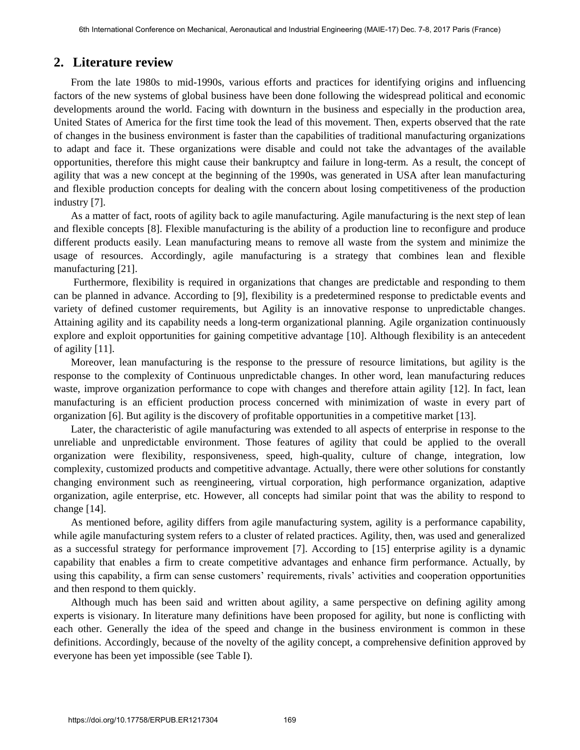# **2. Literature review**

From the late 1980s to mid-1990s, various efforts and practices for identifying origins and influencing factors of the new systems of global business have been done following the widespread political and economic developments around the world. Facing with downturn in the business and especially in the production area, United States of America for the first time took the lead of this movement. Then, experts observed that the rate of changes in the business environment is faster than the capabilities of traditional manufacturing organizations to adapt and face it. These organizations were disable and could not take the advantages of the available opportunities, therefore this might cause their bankruptcy and failure in long-term. As a result, the concept of agility that was a new concept at the beginning of the 1990s, was generated in USA after lean manufacturing and flexible production concepts for dealing with the concern about losing competitiveness of the production industry [7].

As a matter of fact, roots of agility back to agile manufacturing. Agile manufacturing is the next step of lean and flexible concepts [8]. Flexible manufacturing is the ability of a production line to reconfigure and produce different products easily. Lean manufacturing means to remove all waste from the system and minimize the usage of resources. Accordingly, agile manufacturing is a strategy that combines lean and flexible manufacturing [21].

 Furthermore, flexibility is required in organizations that changes are predictable and responding to them can be planned in advance. According to [9], flexibility is a predetermined response to predictable events and variety of defined customer requirements, but Agility is an innovative response to unpredictable changes. Attaining agility and its capability needs a long-term organizational planning. Agile organization continuously explore and exploit opportunities for gaining competitive advantage [10]. Although flexibility is an antecedent of agility [11].

Moreover, lean manufacturing is the response to the pressure of resource limitations, but agility is the response to the complexity of Continuous unpredictable changes. In other word, lean manufacturing reduces waste, improve organization performance to cope with changes and therefore attain agility [12]. In fact, lean manufacturing is an efficient production process concerned with minimization of waste in every part of organization [6]. But agility is the discovery of profitable opportunities in a competitive market [13].

Later, the characteristic of agile manufacturing was extended to all aspects of enterprise in response to the unreliable and unpredictable environment. Those features of agility that could be applied to the overall organization were flexibility, responsiveness, speed, high-quality, culture of change, integration, low complexity, customized products and competitive advantage. Actually, there were other solutions for constantly changing environment such as reengineering, virtual corporation, high performance organization, adaptive organization, agile enterprise, etc. However, all concepts had similar point that was the ability to respond to change [14].

As mentioned before, agility differs from agile manufacturing system, agility is a performance capability, while agile manufacturing system refers to a cluster of related practices. Agility, then, was used and generalized as a successful strategy for performance improvement [7]. According to [15] enterprise agility is a dynamic capability that enables a firm to create competitive advantages and enhance firm performance. Actually, by using this capability, a firm can sense customers' requirements, rivals' activities and cooperation opportunities and then respond to them quickly.

Although much has been said and written about agility, a same perspective on defining agility among experts is visionary. In literature many definitions have been proposed for agility, but none is conflicting with each other. Generally the idea of the speed and change in the business environment is common in these definitions. Accordingly, because of the novelty of the agility concept, a comprehensive definition approved by everyone has been yet impossible (see Table I).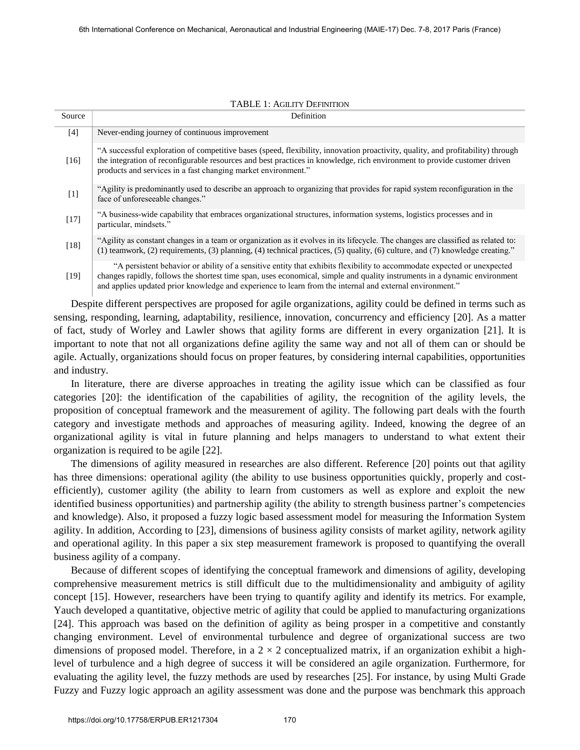| Source | Definition                                                                                                                                                                                                                                                                                                                                                       |
|--------|------------------------------------------------------------------------------------------------------------------------------------------------------------------------------------------------------------------------------------------------------------------------------------------------------------------------------------------------------------------|
| $[4]$  | Never-ending journey of continuous improvement                                                                                                                                                                                                                                                                                                                   |
| [16]   | "A successful exploration of competitive bases (speed, flexibility, innovation proactivity, quality, and profitability) through<br>the integration of reconfigurable resources and best practices in knowledge, rich environment to provide customer driven<br>products and services in a fast changing market environment."                                     |
| $[1]$  | "Agility is predominantly used to describe an approach to organizing that provides for rapid system reconfiguration in the<br>face of unforeseeable changes."                                                                                                                                                                                                    |
| $[17]$ | "A business-wide capability that embraces organizational structures, information systems, logistics processes and in<br>particular, mindsets."                                                                                                                                                                                                                   |
| $[18]$ | "Agility as constant changes in a team or organization as it evolves in its lifecycle. The changes are classified as related to:<br>(1) teamwork, (2) requirements, (3) planning, (4) technical practices, (5) quality, (6) culture, and (7) knowledge creating."                                                                                                |
| $[19]$ | "A persistent behavior or ability of a sensitive entity that exhibits flexibility to accommodate expected or unexpected<br>changes rapidly, follows the shortest time span, uses economical, simple and quality instruments in a dynamic environment<br>and applies updated prior knowledge and experience to learn from the internal and external environment." |

#### TABLE 1: AGILITY DEFINITION

Despite different perspectives are proposed for agile organizations, agility could be defined in terms such as sensing, responding, learning, adaptability, resilience, innovation, concurrency and efficiency [20]. As a matter of fact, study of Worley and Lawler shows that agility forms are different in every organization [21]. It is important to note that not all organizations define agility the same way and not all of them can or should be agile. Actually, organizations should focus on proper features, by considering internal capabilities, opportunities and industry.

In literature, there are diverse approaches in treating the agility issue which can be classified as four categories [20]: the identification of the capabilities of agility, the recognition of the agility levels, the proposition of conceptual framework and the measurement of agility. The following part deals with the fourth category and investigate methods and approaches of measuring agility. Indeed, knowing the degree of an organizational agility is vital in future planning and helps managers to understand to what extent their organization is required to be agile [22].

The dimensions of agility measured in researches are also different. Reference [20] points out that agility has three dimensions: operational agility (the ability to use business opportunities quickly, properly and costefficiently), customer agility (the ability to learn from customers as well as explore and exploit the new identified business opportunities) and partnership agility (the ability to strength business partner's competencies and knowledge). Also, it proposed a fuzzy logic based assessment model for measuring the Information System agility. In addition, According to [23], dimensions of business agility consists of market agility, network agility and operational agility. In this paper a six step measurement framework is proposed to quantifying the overall business agility of a company.

Because of different scopes of identifying the conceptual framework and dimensions of agility, developing comprehensive measurement metrics is still difficult due to the multidimensionality and ambiguity of agility concept [15]. However, researchers have been trying to quantify agility and identify its metrics. For example, Yauch developed a quantitative, objective metric of agility that could be applied to manufacturing organizations [24]. This approach was based on the definition of agility as being prosper in a competitive and constantly changing environment. Level of environmental turbulence and degree of organizational success are two dimensions of proposed model. Therefore, in a  $2 \times 2$  conceptualized matrix, if an organization exhibit a highlevel of turbulence and a high degree of success it will be considered an agile organization. Furthermore, for evaluating the agility level, the fuzzy methods are used by researches [25]. For instance, by using Multi Grade Fuzzy and Fuzzy logic approach an agility assessment was done and the purpose was benchmark this approach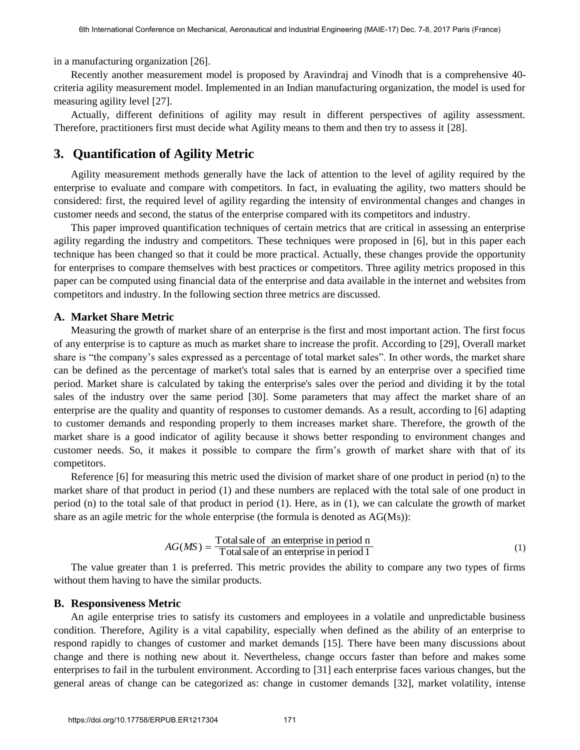in a manufacturing organization [26].

Recently another measurement model is proposed by Aravindraj and Vinodh that is a comprehensive 40 criteria agility measurement model. Implemented in an Indian manufacturing organization, the model is used for measuring agility level [27].

Actually, different definitions of agility may result in different perspectives of agility assessment. Therefore, practitioners first must decide what Agility means to them and then try to assess it [28].

# **3. Quantification of Agility Metric**

Agility measurement methods generally have the lack of attention to the level of agility required by the enterprise to evaluate and compare with competitors. In fact, in evaluating the agility, two matters should be considered: first, the required level of agility regarding the intensity of environmental changes and changes in customer needs and second, the status of the enterprise compared with its competitors and industry.

This paper improved quantification techniques of certain metrics that are critical in assessing an enterprise agility regarding the industry and competitors. These techniques were proposed in [6], but in this paper each technique has been changed so that it could be more practical. Actually, these changes provide the opportunity for enterprises to compare themselves with best practices or competitors. Three agility metrics proposed in this paper can be computed using financial data of the enterprise and data available in the internet and websites from competitors and industry. In the following section three metrics are discussed.

## **A. Market Share Metric**

Measuring the growth of market share of an enterprise is the first and most important action. The first focus of any enterprise is to capture as much as market share to increase the profit. According to [29], Overall market share is "the company's sales expressed as a percentage of total market sales". In other words, the market share can be defined as the percentage of market's total sales that is earned by an enterprise over a specified time period. Market share is calculated by taking the enterprise's sales over the period and dividing it by the total sales of the industry over the same period [30]. Some parameters that may affect the market share of an enterprise are the quality and quantity of responses to customer demands. As a result, according to [6] adapting to customer demands and responding properly to them increases market share. Therefore, the growth of the market share is a good indicator of agility because it shows better responding to environment changes and customer needs. So, it makes it possible to compare the firm's growth of market share with that of its competitors.

Reference [6] for measuring this metric used the division of market share of one product in period (n) to the market share of that product in period (1) and these numbers are replaced with the total sale of one product in period (n) to the total sale of that product in period (1). Here, as in (1), we can calculate the growth of market share as an agile metric for the whole enterprise (the formula is denoted as AG(Ms)):

$$
AG(MS) = \frac{\text{Total sale of}}{\text{Total sale of an enterprise in period 1}}\tag{1}
$$

The value greater than 1 is preferred. This metric provides the ability to compare any two types of firms without them having to have the similar products.

## **B. Responsiveness Metric**

An agile enterprise tries to satisfy its customers and employees in a volatile and unpredictable business condition. Therefore, Agility is a vital capability, especially when defined as the ability of an enterprise to respond rapidly to changes of customer and market demands [15]. There have been many discussions about change and there is nothing new about it. Nevertheless, change occurs faster than before and makes some enterprises to fail in the turbulent environment. According to [31] each enterprise faces various changes, but the general areas of change can be categorized as: change in customer demands [32], market volatility, intense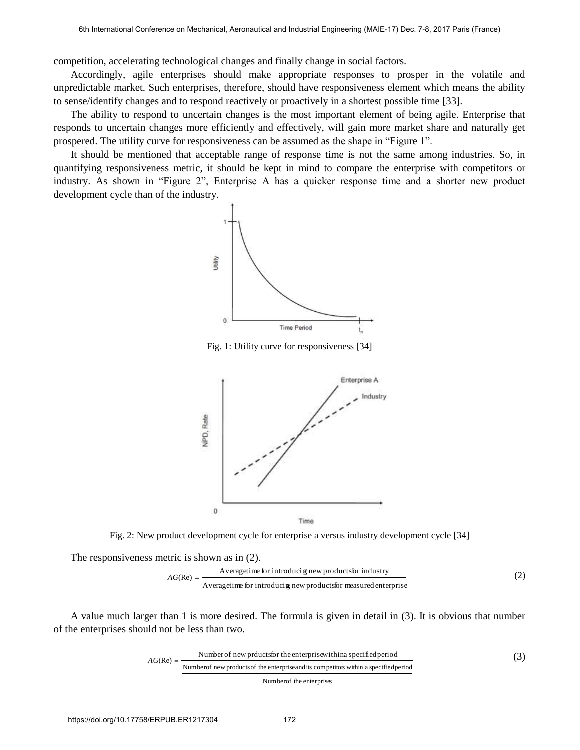competition, accelerating technological changes and finally change in social factors.

Accordingly, agile enterprises should make appropriate responses to prosper in the volatile and unpredictable market. Such enterprises, therefore, should have responsiveness element which means the ability to sense/identify changes and to respond reactively or proactively in a shortest possible time [33].

The ability to respond to uncertain changes is the most important element of being agile. Enterprise that responds to uncertain changes more efficiently and effectively, will gain more market share and naturally get prospered. The utility curve for responsiveness can be assumed as the shape in "Figure 1".

It should be mentioned that acceptable range of response time is not the same among industries. So, in quantifying responsiveness metric, it should be kept in mind to compare the enterprise with competitors or industry. As shown in "Figure 2", Enterprise A has a quicker response time and a shorter new product development cycle than of the industry.



Fig. 1: Utility curve for responsiveness [34]



Fig. 2: New product development cycle for enterprise a versus industry development cycle [34]

The responsiveness metric is shown as in (2).

SS metric is shown as in (2).

\nAveragetime for introducing new products for industry

\nAc(Re) = 
$$
\frac{\text{Averagetime for introducing new products for measured enterprise}}{\text{Averagetime for introducing new products for measured enterprise}}
$$
\n(2)

A value much larger than 1 is more desired. The formula is given in detail in (3). It is obvious that number of the enterprises should not be less than two.

$$
AG(Re) = \frac{\text{Number of new products for the enterprise within a specified period}}{\text{Number of new products of the enterprise and its competitors within a specified period}} \tag{3}
$$

Number of the enterprises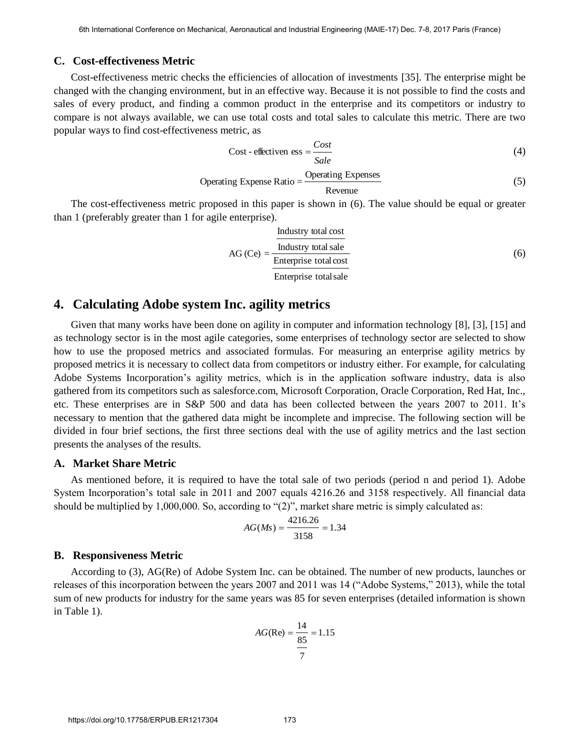### **C. Cost-effectiveness Metric**

Cost-effectiveness metric checks the efficiencies of allocation of investments [35]. The enterprise might be changed with the changing environment, but in an effective way. Because it is not possible to find the costs and sales of every product, and finding a common product in the enterprise and its competitors or industry to compare is not always available, we can use total costs and total sales to calculate this metric. There are two popular ways to find cost-effectiveness metric, as

$$
Cost - effective n \text{ ess} = \frac{Cost}{Sale}
$$
 (4)

Operating Expression Ratio = 
$$
\frac{\text{Operating Express}}{\text{Revenue}}
$$
 (5)

The cost-effectiveness metric proposed in this paper is shown in (6). The value should be equal or greater than 1 (preferably greater than 1 for agile enterprise).

$$
AG (Ce) = \frac{\frac{\text{Industy total cost}}{\text{Interprise total sale}}}{\text{Enterprise total cost}} \tag{6}
$$

## **4. Calculating Adobe system Inc. agility metrics**

Given that many works have been done on agility in computer and information technology [8], [3], [15] and as technology sector is in the most agile categories, some enterprises of technology sector are selected to show how to use the proposed metrics and associated formulas. For measuring an enterprise agility metrics by proposed metrics it is necessary to collect data from competitors or industry either. For example, for calculating Adobe Systems Incorporation's agility metrics, which is in the application software industry, data is also gathered from its competitors such as salesforce.com, Microsoft Corporation, Oracle Corporation, Red Hat, Inc., etc. These enterprises are in S&P 500 and data has been collected between the years 2007 to 2011. It's necessary to mention that the gathered data might be incomplete and imprecise. The following section will be divided in four brief sections, the first three sections deal with the use of agility metrics and the last section presents the analyses of the results.

#### **A. Market Share Metric**

As mentioned before, it is required to have the total sale of two periods (period n and period 1). Adobe System Incorporation's total sale in 2011 and 2007 equals 4216.26 and 3158 respectively. All financial data should be multiplied by 1,000,000. So, according to "(2)", market share metric is simply calculated as:

$$
AG(Ms) = \frac{4216.26}{3158} = 1.34
$$

#### **B. Responsiveness Metric**

According to (3), AG(Re) of Adobe System Inc. can be obtained. The number of new products, launches or releases of this incorporation between the years 2007 and 2011 was 14 ("Adobe Systems," 2013), while the total sum of new products for industry for the same years was 85 for seven enterprises (detailed information is shown in Table 1).

$$
AG(\text{Re}) = \frac{14}{\frac{85}{7}} = 1.15
$$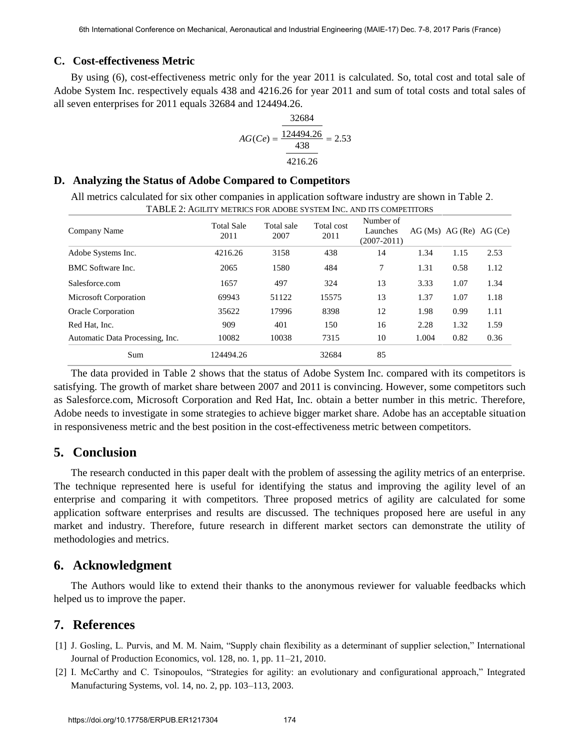## **C. Cost-effectiveness Metric**

By using (6), cost-effectiveness metric only for the year 2011 is calculated. So, total cost and total sale of Adobe System Inc. respectively equals 438 and 4216.26 for year 2011 and sum of total costs and total sales of all seven enterprises for 2011 equals 32684 and 124494.26.

$$
AG(Ce) = \frac{\frac{32684}{124494.26}}{\frac{438}{4216.26}} = 2.53
$$

### **D. Analyzing the Status of Adobe Compared to Competitors**

All metrics calculated for six other companies in application software industry are shown in Table 2. TABLE 2: AGILITY METRICS FOR ADOBE SYSTEM INC. AND ITS COMPETITORS

| Company Name                    | <b>Total Sale</b><br>2011 | Total sale<br>2007 | Total cost<br>2011 | Number of<br>Launches<br>$(2007 - 2011)$ |       | AG(Ms) AG(Re) AG(Ce) |      |
|---------------------------------|---------------------------|--------------------|--------------------|------------------------------------------|-------|----------------------|------|
| Adobe Systems Inc.              | 4216.26                   | 3158               | 438                | 14                                       | 1.34  | 1.15                 | 2.53 |
| BMC Software Inc.               | 2065                      | 1580               | 484                | 7                                        | 1.31  | 0.58                 | 1.12 |
| Salesforce.com                  | 1657                      | 497                | 324                | 13                                       | 3.33  | 1.07                 | 1.34 |
| Microsoft Corporation           | 69943                     | 51122              | 15575              | 13                                       | 1.37  | 1.07                 | 1.18 |
| <b>Oracle Corporation</b>       | 35622                     | 17996              | 8398               | 12                                       | 1.98  | 0.99                 | 1.11 |
| Red Hat, Inc.                   | 909                       | 401                | 150                | 16                                       | 2.28  | 1.32                 | 1.59 |
| Automatic Data Processing, Inc. | 10082                     | 10038              | 7315               | 10                                       | 1.004 | 0.82                 | 0.36 |
| Sum                             | 124494.26                 |                    | 32684              | 85                                       |       |                      |      |

The data provided in Table 2 shows that the status of Adobe System Inc. compared with its competitors is satisfying. The growth of market share between 2007 and 2011 is convincing. However, some competitors such as Salesforce.com, Microsoft Corporation and Red Hat, Inc. obtain a better number in this metric. Therefore, Adobe needs to investigate in some strategies to achieve bigger market share. Adobe has an acceptable situation in responsiveness metric and the best position in the cost-effectiveness metric between competitors.

# **5. Conclusion**

The research conducted in this paper dealt with the problem of assessing the agility metrics of an enterprise. The technique represented here is useful for identifying the status and improving the agility level of an enterprise and comparing it with competitors. Three proposed metrics of agility are calculated for some application software enterprises and results are discussed. The techniques proposed here are useful in any market and industry. Therefore, future research in different market sectors can demonstrate the utility of methodologies and metrics.

# **6. Acknowledgment**

The Authors would like to extend their thanks to the anonymous reviewer for valuable feedbacks which helped us to improve the paper.

# **7. References**

- [1] J. Gosling, L. Purvis, and M. M. Naim, "Supply chain flexibility as a determinant of supplier selection," International Journal of Production Economics, vol. 128, no. 1, pp. 11–21, 2010.
- [2] I. McCarthy and C. Tsinopoulos, "Strategies for agility: an evolutionary and configurational approach," Integrated Manufacturing Systems, vol. 14, no. 2, pp. 103–113, 2003.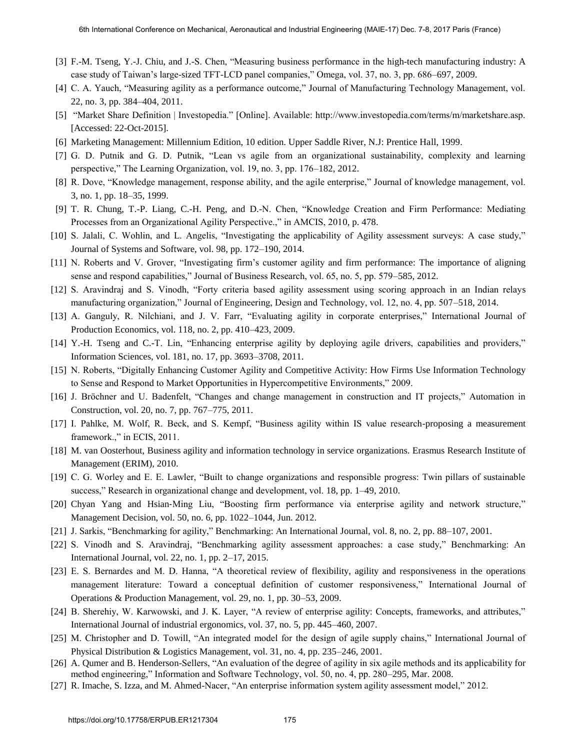- [3] F.-M. Tseng, Y.-J. Chiu, and J.-S. Chen, "Measuring business performance in the high-tech manufacturing industry: A case study of Taiwan's large-sized TFT-LCD panel companies," Omega, vol. 37, no. 3, pp. 686–697, 2009.
- [4] C. A. Yauch, "Measuring agility as a performance outcome," Journal of Manufacturing Technology Management, vol. 22, no. 3, pp. 384–404, 2011.
- [5] "Market Share Definition | Investopedia." [Online]. Available: http://www.investopedia.com/terms/m/marketshare.asp. [Accessed: 22-Oct-2015].
- [6] Marketing Management: Millennium Edition, 10 edition. Upper Saddle River, N.J: Prentice Hall, 1999.
- [7] G. D. Putnik and G. D. Putnik, "Lean vs agile from an organizational sustainability, complexity and learning perspective," The Learning Organization, vol. 19, no. 3, pp. 176–182, 2012.
- [8] R. Dove, "Knowledge management, response ability, and the agile enterprise," Journal of knowledge management, vol. 3, no. 1, pp. 18–35, 1999.
- [9] T. R. Chung, T.-P. Liang, C.-H. Peng, and D.-N. Chen, "Knowledge Creation and Firm Performance: Mediating Processes from an Organizational Agility Perspective.," in AMCIS, 2010, p. 478.
- [10] S. Jalali, C. Wohlin, and L. Angelis, "Investigating the applicability of Agility assessment surveys: A case study," Journal of Systems and Software, vol. 98, pp. 172–190, 2014.
- [11] N. Roberts and V. Grover, "Investigating firm's customer agility and firm performance: The importance of aligning sense and respond capabilities," Journal of Business Research, vol. 65, no. 5, pp. 579–585, 2012.
- [12] S. Aravindraj and S. Vinodh, "Forty criteria based agility assessment using scoring approach in an Indian relays manufacturing organization," Journal of Engineering, Design and Technology, vol. 12, no. 4, pp. 507–518, 2014.
- [13] A. Ganguly, R. Nilchiani, and J. V. Farr, "Evaluating agility in corporate enterprises," International Journal of Production Economics, vol. 118, no. 2, pp. 410–423, 2009.
- [14] Y.-H. Tseng and C.-T. Lin, "Enhancing enterprise agility by deploying agile drivers, capabilities and providers," Information Sciences, vol. 181, no. 17, pp. 3693–3708, 2011.
- [15] N. Roberts, "Digitally Enhancing Customer Agility and Competitive Activity: How Firms Use Information Technology to Sense and Respond to Market Opportunities in Hypercompetitive Environments," 2009.
- [16] J. Bröchner and U. Badenfelt, "Changes and change management in construction and IT projects," Automation in Construction, vol. 20, no. 7, pp. 767–775, 2011.
- [17] I. Pahlke, M. Wolf, R. Beck, and S. Kempf, "Business agility within IS value research-proposing a measurement framework.," in ECIS, 2011.
- [18] M. van Oosterhout, Business agility and information technology in service organizations. Erasmus Research Institute of Management (ERIM), 2010.
- [19] C. G. Worley and E. E. Lawler, "Built to change organizations and responsible progress: Twin pillars of sustainable success," Research in organizational change and development, vol. 18, pp. 1–49, 2010.
- [20] Chyan Yang and Hsian‐Ming Liu, "Boosting firm performance via enterprise agility and network structure," Management Decision, vol. 50, no. 6, pp. 1022–1044, Jun. 2012.
- [21] J. Sarkis, "Benchmarking for agility," Benchmarking: An International Journal, vol. 8, no. 2, pp. 88–107, 2001.
- [22] S. Vinodh and S. Aravindraj, "Benchmarking agility assessment approaches: a case study," Benchmarking: An International Journal, vol. 22, no. 1, pp. 2–17, 2015.
- [23] E. S. Bernardes and M. D. Hanna, "A theoretical review of flexibility, agility and responsiveness in the operations management literature: Toward a conceptual definition of customer responsiveness," International Journal of Operations & Production Management, vol. 29, no. 1, pp. 30–53, 2009.
- [24] B. Sherehiy, W. Karwowski, and J. K. Layer, "A review of enterprise agility: Concepts, frameworks, and attributes," International Journal of industrial ergonomics, vol. 37, no. 5, pp. 445–460, 2007.
- [25] M. Christopher and D. Towill, "An integrated model for the design of agile supply chains," International Journal of Physical Distribution & Logistics Management, vol. 31, no. 4, pp. 235–246, 2001.
- [26] A. Qumer and B. Henderson-Sellers, "An evaluation of the degree of agility in six agile methods and its applicability for method engineering," Information and Software Technology, vol. 50, no. 4, pp. 280–295, Mar. 2008.
- [27] R. Imache, S. Izza, and M. Ahmed-Nacer, "An enterprise information system agility assessment model," 2012.